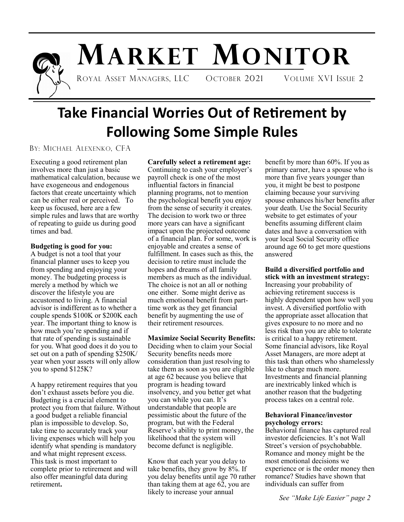

# **MARKET MONITOR**

ROYAL ASSET MANAGERS, LLC OCTOBER 2021 VOLUME XVI ISSUE 2

# **Take Financial Worries Out of Retirement by Following Some Simple Rules**

### BY: MICHAEL ALEXENKO, CFA

Executing a good retirement plan involves more than just a basic mathematical calculation, because we have exogeneous and endogenous factors that create uncertainty which can be either real or perceived. To keep us focused, here are a few simple rules and laws that are worthy of repeating to guide us during good times and bad.

### **Budgeting is good for you:**

A budget is not a tool that your financial planner uses to keep you from spending and enjoying your money. The budgeting process is merely a method by which we discover the lifestyle you are accustomed to living. A financial advisor is indifferent as to whether a couple spends \$100K or \$200K each year. The important thing to know is how much you're spending and if that rate of spending is sustainable for you. What good does it do you to set out on a path of spending \$250K/ year when your assets will only allow you to spend \$125K?

A happy retirement requires that you don't exhaust assets before you die. Budgeting is a crucial element to protect you from that failure. Without a good budget a reliable financial plan is impossible to develop. So, take time to accurately track your living expenses which will help you identify what spending is mandatory and what might represent excess. This task is most important to complete prior to retirement and will also offer meaningful data during retirement**.** 

**Carefully select a retirement age:**  Continuing to cash your employer's payroll check is one of the most influential factors in financial planning programs, not to mention the psychological benefit you enjoy from the sense of security it creates. The decision to work two or three more years can have a significant impact upon the projected outcome of a financial plan. For some, work is enjoyable and creates a sense of fulfillment. In cases such as this, the decision to retire must include the hopes and dreams of all family members as much as the individual. The choice is not an all or nothing one either. Some might derive as much emotional benefit from parttime work as they get financial benefit by augmenting the use of their retirement resources.

**Maximize Social Security Benefits:**  Deciding when to claim your Social Security benefits needs more consideration than just resolving to take them as soon as you are eligible at age 62 because you believe that program is heading toward insolvency, and you better get what you can while you can. It's understandable that people are pessimistic about the future of the program, but with the Federal Reserve's ability to print money, the likelihood that the system will become defunct is negligible.

Know that each year you delay to take benefits, they grow by 8%. If you delay benefits until age 70 rather than taking them at age 62, you are likely to increase your annual

benefit by more than 60%. If you as primary earner, have a spouse who is more than five years younger than you, it might be best to postpone claiming because your surviving spouse enhances his/her benefits after your death. Use the Social Security website to get estimates of your benefits assuming different claim dates and have a conversation with your local Social Security office around age 60 to get more questions answered

### **Build a diversified portfolio and stick with an investment strategy:**

Increasing your probability of achieving retirement success is highly dependent upon how well you invest. A diversified portfolio with the appropriate asset allocation that gives exposure to no more and no less risk than you are able to tolerate is critical to a happy retirement. Some financial advisors, like Royal Asset Managers, are more adept at this task than others who shamelessly like to charge much more. Investments and financial planning are inextricably linked which is another reason that the budgeting process takes on a central role.

### **Behavioral Finance/investor psychology errors:**

Behavioral finance has captured real investor deficiencies. It's not Wall Street's version of psychobabble. Romance and money might be the most emotional decisions we experience or is the order money then romance? Studies have shown that individuals can suffer from